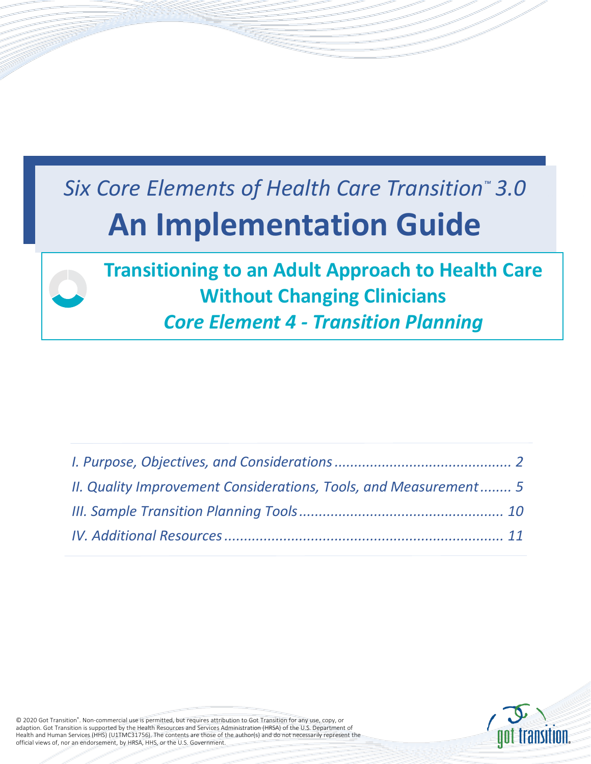# *Six Core Elements of Health Care Transition™ 3.0*  **An Implementation Guide**

# **Transitioning to an Adult Approach to Health Care Without Changing Clinicians** *Core Element 4 - Transition Planning*

| II. Quality Improvement Considerations, Tools, and Measurement 5 |  |
|------------------------------------------------------------------|--|
|                                                                  |  |
|                                                                  |  |



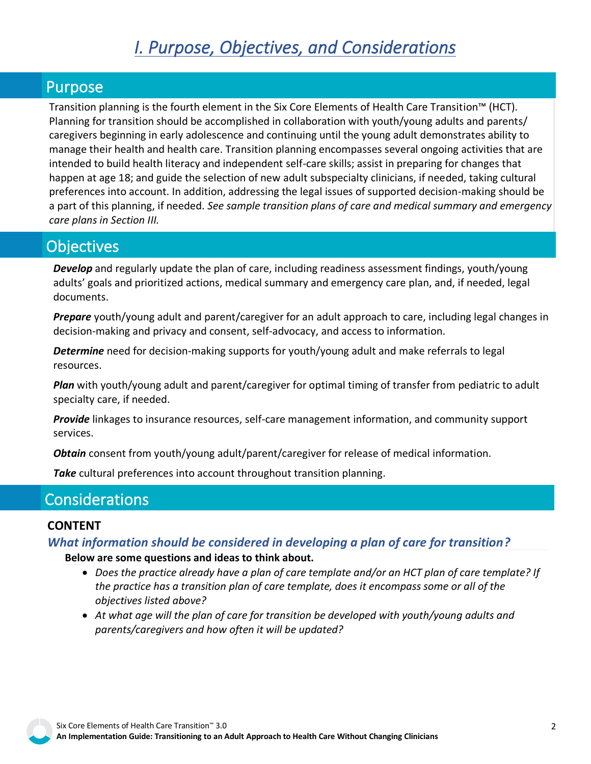# *I. Purpose, Objectives, and Considerations*

# <span id="page-1-0"></span>Purpose

Transition planning is the fourth element in the Six Core Elements of Health Care Transition™ (HCT). Planning for transition should be accomplished in collaboration with youth/young adults and parents/ caregivers beginning in early adolescence and continuing until the young adult demonstrates ability to manage their health and health care. Transition planning encompasses several ongoing activities that are intended to build health literacy and independent self-care skills; assist in preparing for changes that happen at age 18; and guide the selection of new adult subspecialty clinicians, if needed, taking cultural preferences into account. In addition, addressing the legal issues of supported decision-making should be a part of this planning, if needed. *[See sample transition plans of care and medical summary and emergency](#page-9-0)  [care plans in Section III.](#page-9-0)*

# **Objectives**

*Develop* and regularly update the plan of care, including readiness assessment findings, youth/young adults' goals and prioritized actions, medical summary and emergency care plan, and, if needed, legal documents.

*Prepare* youth/young adult and parent/caregiver for an adult approach to care, including legal changes in decision-making and privacy and consent, self-advocacy, and access to information.

*Determine* need for decision-making supports for youth/young adult and make referrals to legal resources.

*Plan* with youth/young adult and parent/caregiver for optimal timing of transfer from pediatric to adult specialty care, if needed.

*Provide* linkages to insurance resources, self-care management information, and community support services.

*Obtain* consent from youth/young adult/parent/caregiver for release of medical information.

*Take* cultural preferences into account throughout transition planning.

# **Considerations**

#### **CONTENT**

*What information should be considered in developing a plan of care for transition?*

**Below are some questions and ideas to think about.**

- *Does the practice already have a plan of care template and/or an HCT plan of care template? If the practice has a transition plan of care template, does it encompass some or all of the objectives listed above?*
- *At what age will the plan of care for transition be developed with youth/young adults and parents/caregivers and how often it will be updated?*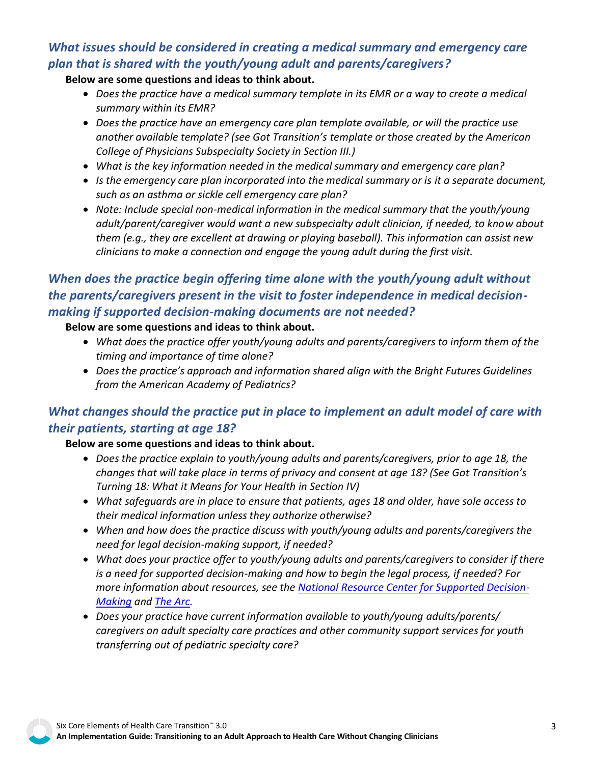# *What issues should be considered in creating a medical summary and emergency care plan that is shared with the youth/young adult and parents/caregivers?*

#### **Below are some questions and ideas to think about.**

- *Does the practice have a medical summary template in its EMR or a way to create a medical summary within its EMR?*
- *Does the practice have an emergency care plan template available, or will the practice use another available template? (see Got Transition's template or those created by the American College of Physicians Subspecialty Society in Section III.)*
- *What is the key information needed in the medical summary and emergency care plan?*
- *Is the emergency care plan incorporated into the medical summary or is it a separate document, such as an asthma or sickle cell emergency care plan?*
- *Note: Include special non-medical information in the medical summary that the youth/young adult/parent/caregiver would want a new subspecialty adult clinician, if needed, to know about them (e.g., they are excellent at drawing or playing baseball). This information can assist new clinicians to make a connection and engage the young adult during the first visit.*

# *When does the practice begin offering time alone with the youth/young adult without the parents/caregivers present in the visit to foster independence in medical decisionmaking if supported decision-making documents are not needed?*

#### **Below are some questions and ideas to think about.**

- *What does the practice offer youth/young adults and parents/caregivers to inform them of the timing and importance of time alone?*
- *Does the practice's approach and information shared align with the Bright Futures Guidelines from the American Academy of Pediatrics?*

# *What changes should the practice put in place to implement an adult model of care with their patients, starting at age 18?*

#### **Below are some questions and ideas to think about.**

- *Does the practice explain to youth/young adults and parents/caregivers, prior to age 18, the changes that will take place in terms of privacy and consent at age 18? (See Got Transition's Turning 18: What it Means for Your Health in Section IV)*
- *What safeguards are in place to ensure that patients, ages 18 and older, have sole access to their medical information unless they authorize otherwise?*
- *When and how does the practice discuss with youth/young adults and parents/caregivers the need for legal decision-making support, if needed?*
- *What does your practice offer to youth/young adults and parents/caregivers to consider if there is a need for supported decision-making and how to begin the legal process, if needed? For more information about resources, see the [National Resource Center for Supported Decision-](http://www.supporteddecisionmaking.org/)[Making](http://www.supporteddecisionmaking.org/) and [The Arc.](https://thearc.org/)*
- *Does your practice have current information available to youth/young adults/parents/ caregivers on adult specialty care practices and other community support services for youth transferring out of pediatric specialty care?*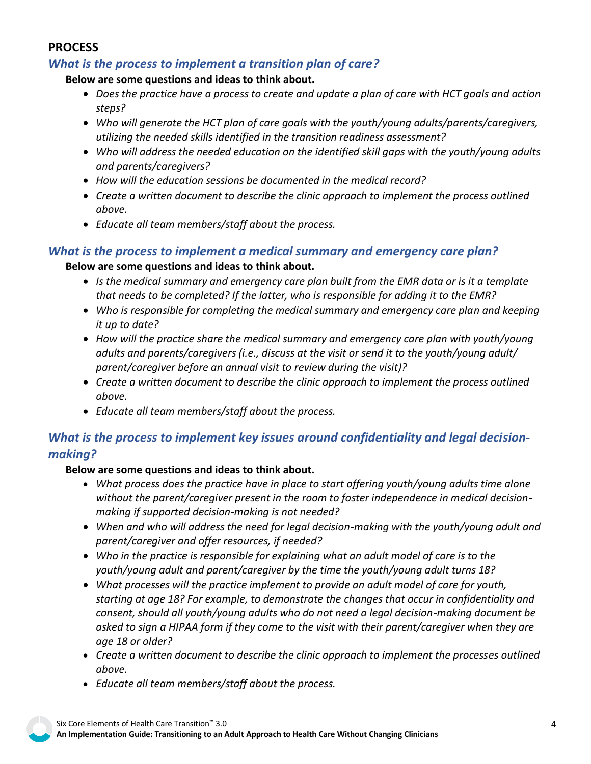# **PROCESS**

# *What is the process to implement a transition plan of care?*

**Below are some questions and ideas to think about.**

- *Does the practice have a process to create and update a plan of care with HCT goals and action steps?*
- *Who will generate the HCT plan of care goals with the youth/young adults/parents/caregivers, utilizing the needed skills identified in the transition readiness assessment?*
- *Who will address the needed education on the identified skill gaps with the youth/young adults and parents/caregivers?*
- *How will the education sessions be documented in the medical record?*
- *Create a written document to describe the clinic approach to implement the process outlined above.*
- *Educate all team members/staff about the process.*

## *What is the process to implement a medical summary and emergency care plan?*

#### **Below are some questions and ideas to think about.**

- *Is the medical summary and emergency care plan built from the EMR data or is it a template that needs to be completed? If the latter, who is responsible for adding it to the EMR?*
- *Who is responsible for completing the medical summary and emergency care plan and keeping it up to date?*
- *How will the practice share the medical summary and emergency care plan with youth/young adults and parents/caregivers (i.e., discuss at the visit or send it to the youth/young adult/ parent/caregiver before an annual visit to review during the visit)?*
- *Create a written document to describe the clinic approach to implement the process outlined above.*
- *Educate all team members/staff about the process.*

# *What is the process to implement key issues around confidentiality and legal decisionmaking?*

#### **Below are some questions and ideas to think about.**

- *What process does the practice have in place to start offering youth/young adults time alone without the parent/caregiver present in the room to foster independence in medical decisionmaking if supported decision-making is not needed?*
- *When and who will address the need for legal decision-making with the youth/young adult and parent/caregiver and offer resources, if needed?*
- *Who in the practice is responsible for explaining what an adult model of care is to the youth/young adult and parent/caregiver by the time the youth/young adult turns 18?*
- *What processes will the practice implement to provide an adult model of care for youth, starting at age 18? For example, to demonstrate the changes that occur in confidentiality and consent, should all youth/young adults who do not need a legal decision-making document be asked to sign a HIPAA form if they come to the visit with their parent/caregiver when they are age 18 or older?*
- *Create a written document to describe the clinic approach to implement the processes outlined above.*
- *Educate all team members/staff about the process.*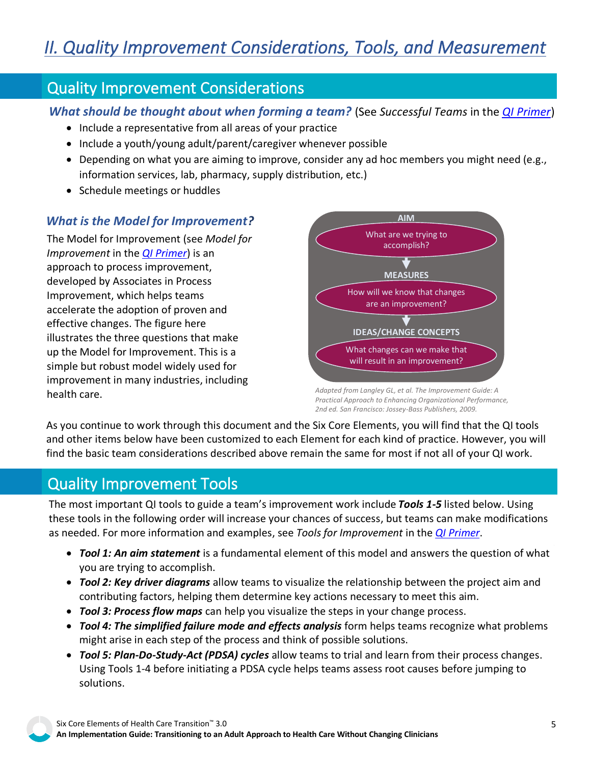# <span id="page-4-0"></span>Quality Improvement Considerations

*What should be thought about when forming a team?* (See *Successful Teams* in the *[QI Primer](https://gottransition.org/6ce/quality-improvement-primer)*)

- Include a representative from all areas of your practice
- Include a youth/young adult/parent/caregiver whenever possible
- Depending on what you are aiming to improve, consider any ad hoc members you might need (e.g., information services, lab, pharmacy, supply distribution, etc.)
- Schedule meetings or huddles

# *What is the Model for Improvement?*

The Model for Improvement (see *Model for Improvement* in the *[QI Primer](https://gottransition.org/6ce/quality-improvement-primer)*) is an approach to process improvement, developed by Associates in Process Improvement, which helps teams accelerate the adoption of proven and effective changes. The figure here illustrates the three questions that make up the Model for Improvement. This is a simple but robust model widely used for improvement in many industries, including health care.



*Adapted from Langley GL, et al. The Improvement Guide: A Practical Approach to Enhancing Organizational Performance, 2nd ed. San Francisco: Jossey-Bass Publishers, 2009.*

As you continue to work through this document and the Six Core Elements, you will find that the QI tools and other items below have been customized to each Element for each kind of practice. However, you will find the basic team considerations described above remain the same for most if not all of your QI work.

# Quality Improvement Tools

The most important QI tools to guide a team's improvement work include *Tools 1-5* listed below. Using these tools in the following order will increase your chances of success, but teams can make modifications as needed. For more information and examples, see *Tools for Improvement* in the *[QI Primer](https://gottransition.org/6ce/quality-improvement-primer)*.

- *Tool 1: An aim statement* is a fundamental element of this model and answers the question of what you are trying to accomplish.
- *Tool 2: Key driver diagrams* allow teams to visualize the relationship between the project aim and contributing factors, helping them determine key actions necessary to meet this aim.
- *Tool 3: Process flow maps* can help you visualize the steps in your change process.
- *Tool 4: The simplified failure mode and effects analysis* form helps teams recognize what problems might arise in each step of the process and think of possible solutions.
- *Tool 5: Plan-Do-Study-Act (PDSA) cycles* allow teams to trial and learn from their process changes. Using Tools 1-4 before initiating a PDSA cycle helps teams assess root causes before jumping to solutions.

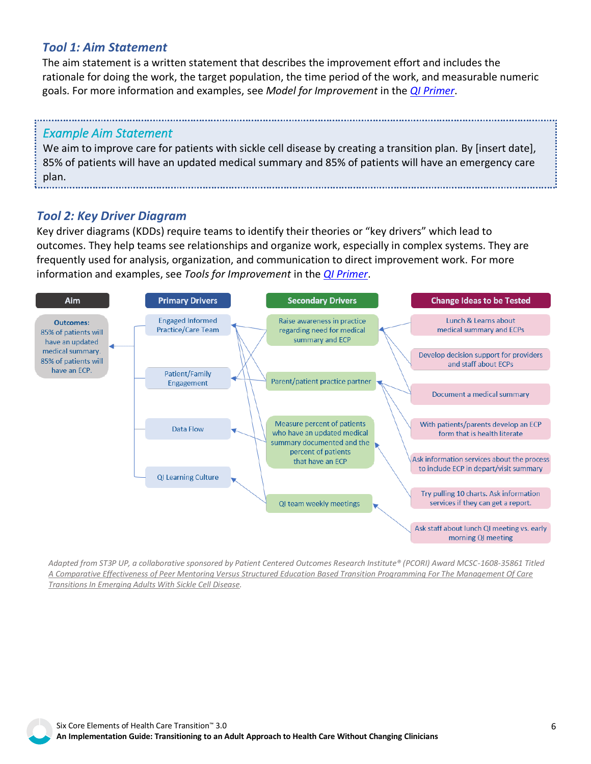# *Tool 1: Aim Statement*

The aim statement is a written statement that describes the improvement effort and includes the rationale for doing the work, the target population, the time period of the work, and measurable numeric goals. For more information and examples, see *Model for Improvement* in the *[QI Primer](https://gottransition.org/6ce/quality-improvement-primer)*.

## *Example Aim Statement*

We aim to improve care for patients with sickle cell disease by creating a transition plan. By [insert date], 85% of patients will have an updated medical summary and 85% of patients will have an emergency care plan.

# *Tool 2: Key Driver Diagram*

Key driver diagrams (KDDs) require teams to identify their theories or "key drivers" which lead to outcomes. They help teams see relationships and organize work, especially in complex systems. They are frequently used for analysis, organization, and communication to direct improvement work. For more information and examples, see *Tools for Improvement* in the *[QI Primer](https://gottransition.org/6ce/quality-improvement-primer)*.



*[Adapted from ST3P UP, a collaborative sponsored by Patient Centered Outcomes Research Institute® \(PCORI\) Award MCSC-1608-35861 Titled](https://www.pcori.org/research-results/2017/comparing-transitional-care-teens-and-young-adults-sickle-cell-disease-and)  A Comparative Effectiveness of Peer Mentoring Versus Structured Education Based Transition Programming For The Management Of Care Transitions In Emerging Adults With Sickle Cell Disease.*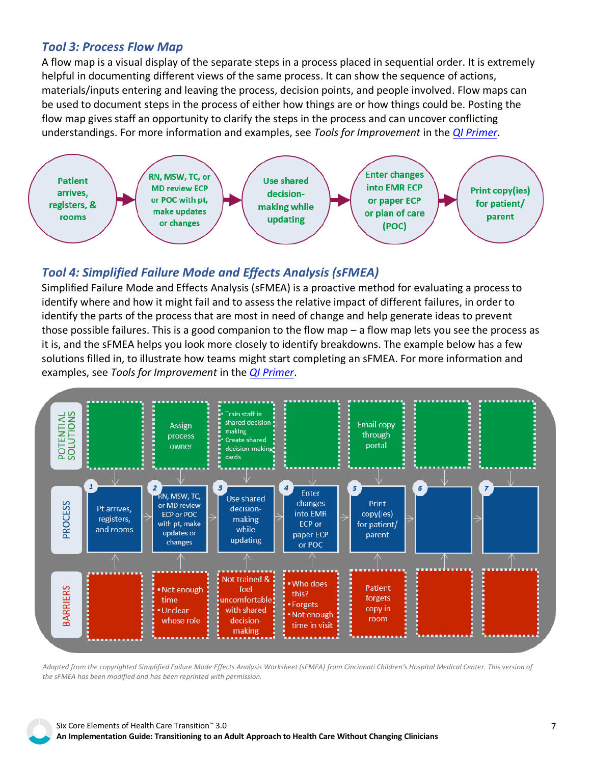#### *Tool 3: Process Flow Map*

A flow map is a visual display of the separate steps in a process placed in sequential order. It is extremely helpful in documenting different views of the same process. It can show the sequence of actions, materials/inputs entering and leaving the process, decision points, and people involved. Flow maps can be used to document steps in the process of either how things are or how things could be. Posting the flow map gives staff an opportunity to clarify the steps in the process and can uncover conflicting understandings. For more information and examples, see *Tools for Improvement* in the *[QI Primer](https://gottransition.org/6ce/quality-improvement-primer)*.



## *Tool 4: Simplified Failure Mode and Effects Analysis (sFMEA)*

Simplified Failure Mode and Effects Analysis (sFMEA) is a proactive method for evaluating a process to identify where and how it might fail and to assess the relative impact of different failures, in order to identify the parts of the process that are most in need of change and help generate ideas to prevent those possible failures. This is a good companion to the flow map – a flow map lets you see the process as it is, and the sFMEA helps you look more closely to identify breakdowns. The example below has a few solutions filled in, to illustrate how teams might start completing an sFMEA. For more information and examples, see *Tools for Improvement* in the *[QI Primer](https://gottransition.org/6ce/quality-improvement-primer)*.



*Adapted from the copyrighted Simplified Failure Mode Effects Analysis Worksheet (sFMEA) from Cincinnati Children's Hospital Medical Center. This version of the sFMEA has been modified and has been reprinted with permission.*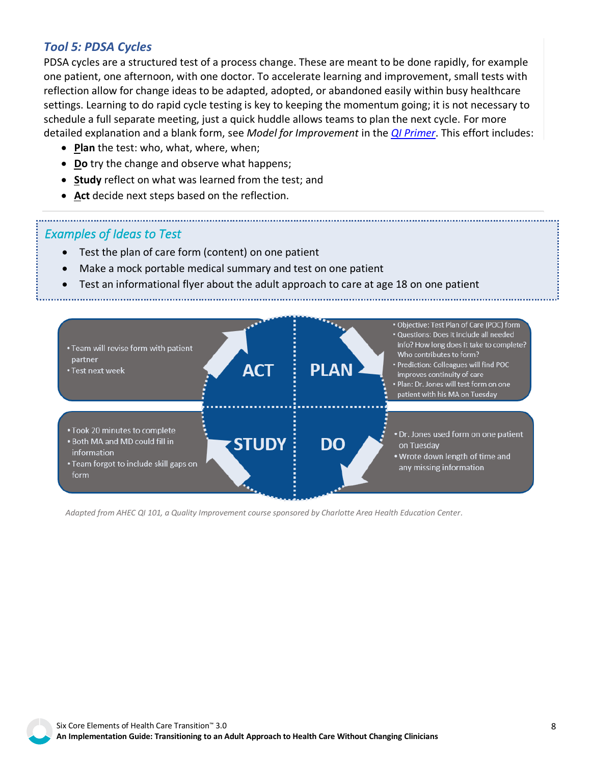## *Tool 5: PDSA Cycles*

PDSA cycles are a structured test of a process change. These are meant to be done rapidly, for example one patient, one afternoon, with one doctor. To accelerate learning and improvement, small tests with reflection allow for change ideas to be adapted, adopted, or abandoned easily within busy healthcare settings. Learning to do rapid cycle testing is key to keeping the momentum going; it is not necessary to schedule a full separate meeting, just a quick huddle allows teams to plan the next cycle. For more detailed explanation and a blank form, see *Model for Improvement* in the *[QI Primer](https://gottransition.org/6ce/quality-improvement-primer)*. This effort includes:

- **Plan** the test: who, what, where, when;
- **Do** try the change and observe what happens;
- **Study** reflect on what was learned from the test; and
- **Act** decide next steps based on the reflection.

# *Examples of Ideas to Test*

- Test the plan of care form (content) on one patient
- Make a mock portable medical summary and test on one patient
- Test an informational flyer about the adult approach to care at age 18 on one patient



*Adapted from AHEC QI 101, a Quality Improvement course sponsored by Charlotte Area Health Education Center.*

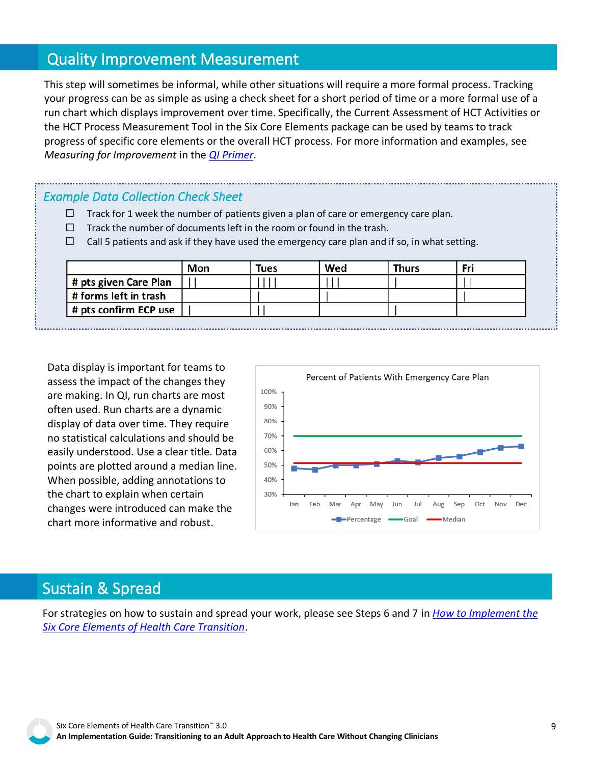# Quality Improvement Measurement

progress of specific core elements or the overall HCT process. For more information and examples, see<br>*Measuring for Improvement* in the <u>QI Primer</u>. This step will sometimes be informal, while other situations will require a more formal process. Tracking your progress can be as simple as using a check sheet for a short period of time or a more formal use of a run chart which displays improvement over time. Specifically, the Current Assessment of HCT Activities or the HCT Process Measurement Tool in the Six Core Elements package can be used by teams to track *Measuring for Improvement* in the *[QI Primer](https://gottransition.org/6ce/quality-improvement-primer)*.

## *Example Data Collection Check Sheet*

- $\Box$  Track for 1 week the number of patients given a plan of care or emergency care plan.
- $\Box$  Track the number of documents left in the room or found in the trash.
- $\Box$  Call 5 patients and ask if they have used the emergency care plan and if so, in what setting.

|                       | Mon | Tues | Wed | <b>Thurs</b> | Fri |
|-----------------------|-----|------|-----|--------------|-----|
| # pts given Care Plan |     |      |     |              |     |
| # forms left in trash |     |      |     |              |     |
| # pts confirm ECP use |     |      |     |              |     |

Data display is important for teams to assess the impact of the changes they are making. In QI, run charts are most often used. Run charts are a dynamic display of data over time. They require no statistical calculations and should be easily understood. Use a clear title. Data points are plotted around a median line. When possible, adding annotations to the chart to explain when certain changes were introduced can make the chart more informative and robust.



# Sustain & Spread

For strategies on how to sustain and spread your work, please see Steps 6 and 7 in *[How to Implement the](https://gottransition.org/6ce/how-to-implement)  [Six Core Elements of Health Care Transition](https://gottransition.org/6ce/how-to-implement)*.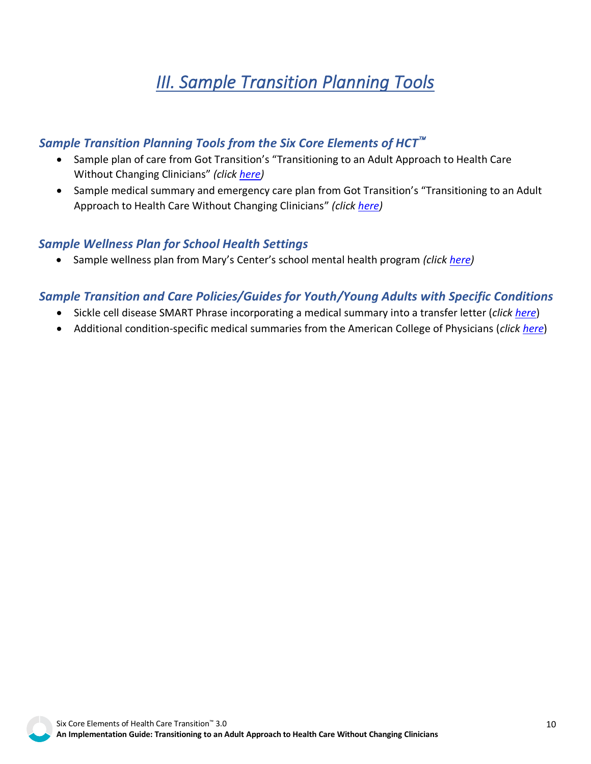# *III. Sample Transition Planning Tools*

# <span id="page-9-0"></span>*Sample Transition Planning Tools from the Six Core Elements of HCT*

- Sample plan of care from Got Transition's "Transitioning to an Adult Approach to Health Care Without Changing Clinicians" *(click [here\)](https://gottransition.org/6ce/staying-plan-care)*
- Sample medical summary and emergency care plan from Got Transition's "Transitioning to an Adult Approach to Health Care Without Changing Clinicians" *(click [here\)](https://gottransition.org/6ce/staying-medical-summary-emergency-plan)*

#### *Sample Wellness Plan for School Health Settings*

• Sample wellness plan from Mary's Center's school mental health program *(click [here\)](https://gottransition.org/resource/sample-wellness-plan-mentalhealth-maryscenter)*

# *Sample Transition and Care Policies/Guides for Youth/Young Adults with Specific Conditions*

- Sickle cell disease SMART Phrase incorporating a medical summary into a transfer letter (*click [here](http://gottransition.org/resource/sample-transfer-letter-smartphrases-scd)*)
- Additional condition-specific medical summaries from the American College of Physicians (*clic[k here](https://www.acponline.org/clinical-information/high-value-care/resources-for-clinicians/pediatric-to-adult-care-transitions-initiative/condition-specific-tools)*)

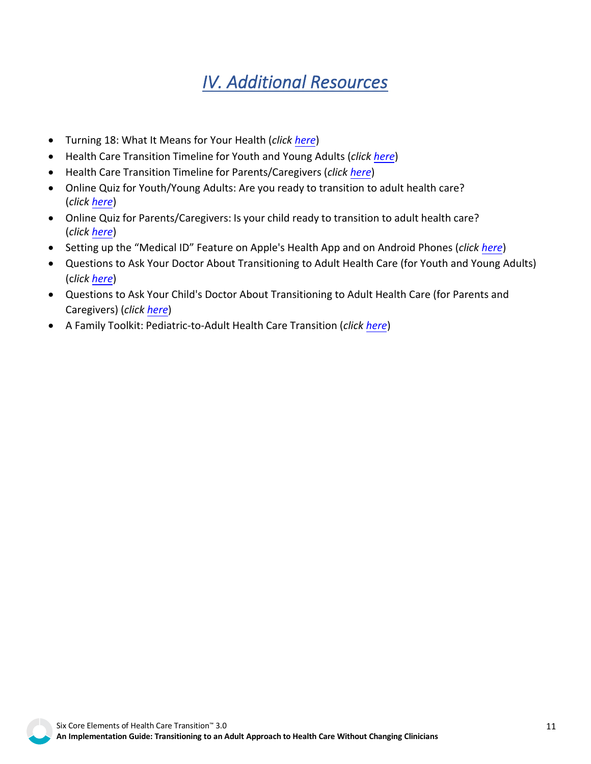# *IV. Additional Resources*

- <span id="page-10-0"></span>• Turning 18: What It Means for Your Health (*click [here](https://gottransition.org/resource/turning-18-english)*)
- Health Care Transition Timeline for Youth and Young Adults (*click [here](https://gottransition.org/resource/hct-timeline-youth-young-adults)*)
- Health Care Transition Timeline for Parents/Caregivers (*click [here](https://gottransition.org/resource/hct-timeline-parents-caregivers)*)
- Online Quiz for Youth/Young Adults: Are you ready to transition to adult health care? (*click [here](https://gottransition.org/youth-and-young-adults/hct-quiz.cfm)*)
- Online Quiz for Parents/Caregivers: Is your child ready to transition to adult health care? (*click [here](https://gottransition.org/parents-caregivers/hct-quiz.cfm)*)
- Setting up the "Medical ID" Feature on Apple's Health App and on Android Phones (*click [here](https://gottransition.org/resource/setting-up-medical-id-smartphones)*)
- Questions to Ask Your Doctor About Transitioning to Adult Health Care (for Youth and Young Adults) (c*lick [here](https://gottransition.org/resource/hct-questions-ask-doctor-youth)*)
- Questions to Ask Your Child's Doctor About Transitioning to Adult Health Care (for Parents and Caregivers) (*click [here](https://gottransition.org/resource/hct-questions-ask-doctor-parents)*)
- A Family Toolkit: Pediatric-to-Adult Health Care Transition (*click [here](https://gottransition.org/resource/hct-family-toolkit)*)